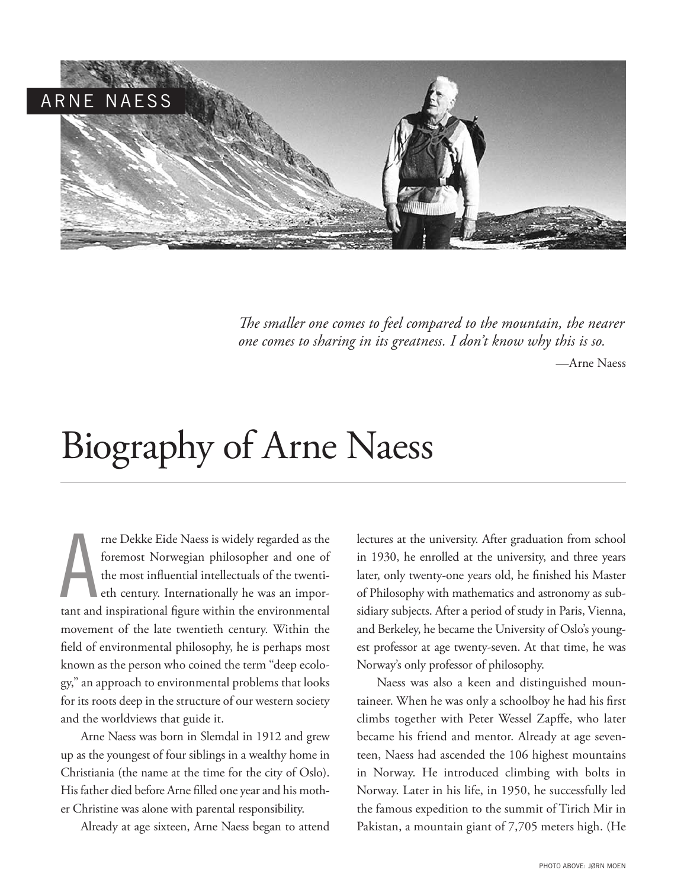

*The smaller one comes to feel compared to the mountain, the nearer one comes to sharing in its greatness. I don't know why this is so.* 

*—*Arne Naess

## Biography of Arne Naess

A rne Dekke Eide Naess is widely regarded as the foremost Norwegian philosopher and one of the most influential intellectuals of the twentieth century. Internationally he was an important and inspirational figure within the environmental movement of the late twentieth century. Within the field of environmental philosophy, he is perhaps most known as the person who coined the term "deep ecology," an approach to environmental problems that looks for its roots deep in the structure of our western society and the worldviews that guide it.

Arne Naess was born in Slemdal in 1912 and grew up as the youngest of four siblings in a wealthy home in Christiania (the name at the time for the city of Oslo). His father died before Arne filled one year and his mother Christine was alone with parental responsibility.

Already at age sixteen, Arne Naess began to attend

lectures at the university. After graduation from school in 1930, he enrolled at the university, and three years later, only twenty-one years old, he finished his Master of Philosophy with mathematics and astronomy as subsidiary subjects. After a period of study in Paris, Vienna, and Berkeley, he became the University of Oslo's youngest professor at age twenty-seven. At that time, he was Norway's only professor of philosophy.

Naess was also a keen and distinguished mountaineer. When he was only a schoolboy he had his first climbs together with Peter Wessel Zapffe, who later became his friend and mentor. Already at age seventeen, Naess had ascended the 106 highest mountains in Norway. He introduced climbing with bolts in Norway. Later in his life, in 1950, he successfully led the famous expedition to the summit of Tirich Mir in Pakistan, a mountain giant of 7,705 meters high. (He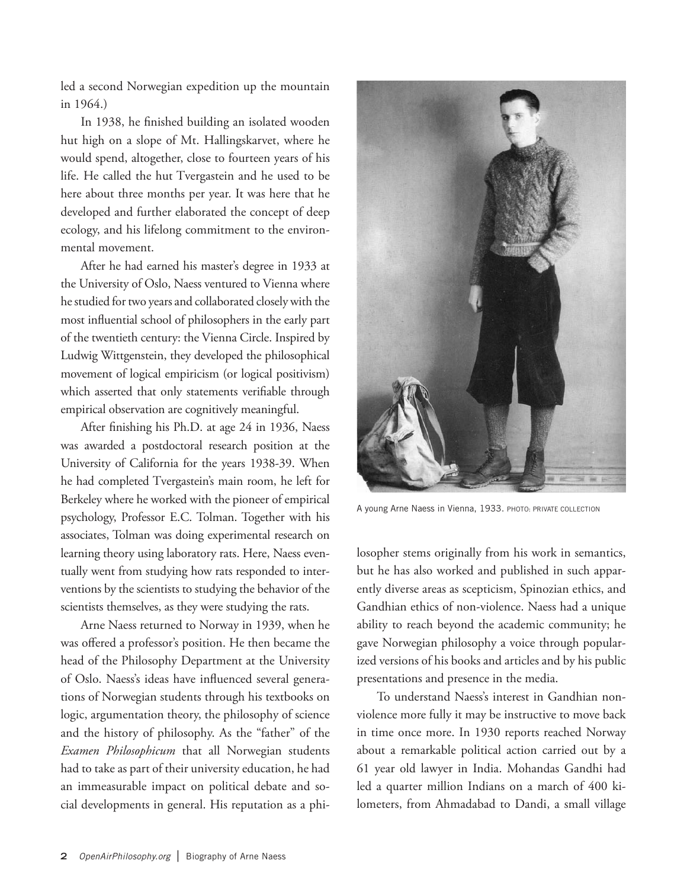led a second Norwegian expedition up the mountain in 1964.)

In 1938, he finished building an isolated wooden hut high on a slope of Mt. Hallingskarvet, where he would spend, altogether, close to fourteen years of his life. He called the hut Tvergastein and he used to be here about three months per year. It was here that he developed and further elaborated the concept of deep ecology, and his lifelong commitment to the environmental movement.

After he had earned his master's degree in 1933 at the University of Oslo, Naess ventured to Vienna where he studied for two years and collaborated closely with the most influential school of philosophers in the early part of the twentieth century: the Vienna Circle. Inspired by Ludwig Wittgenstein, they developed the philosophical movement of logical empiricism (or logical positivism) which asserted that only statements verifiable through empirical observation are cognitively meaningful.

After finishing his Ph.D. at age 24 in 1936, Naess was awarded a postdoctoral research position at the University of California for the years 1938-39. When he had completed Tvergastein's main room, he left for Berkeley where he worked with the pioneer of empirical psychology, Professor E.C. Tolman. Together with his associates, Tolman was doing experimental research on learning theory using laboratory rats. Here, Naess eventually went from studying how rats responded to interventions by the scientists to studying the behavior of the scientists themselves, as they were studying the rats.

Arne Naess returned to Norway in 1939, when he was offered a professor's position. He then became the head of the Philosophy Department at the University of Oslo. Naess's ideas have influenced several generations of Norwegian students through his textbooks on logic, argumentation theory, the philosophy of science and the history of philosophy. As the "father" of the *Examen Philosophicum* that all Norwegian students had to take as part of their university education, he had an immeasurable impact on political debate and social developments in general. His reputation as a phi-



A young Arne Naess in Vienna, 1933. PHOTO: PRIVATE COLLECTION

losopher stems originally from his work in semantics, but he has also worked and published in such apparently diverse areas as scepticism, Spinozian ethics, and Gandhian ethics of non-violence. Naess had a unique ability to reach beyond the academic community; he gave Norwegian philosophy a voice through popularized versions of his books and articles and by his public presentations and presence in the media.

To understand Naess's interest in Gandhian nonviolence more fully it may be instructive to move back in time once more. In 1930 reports reached Norway about a remarkable political action carried out by a 61 year old lawyer in India. Mohandas Gandhi had led a quarter million Indians on a march of 400 kilometers, from Ahmadabad to Dandi, a small village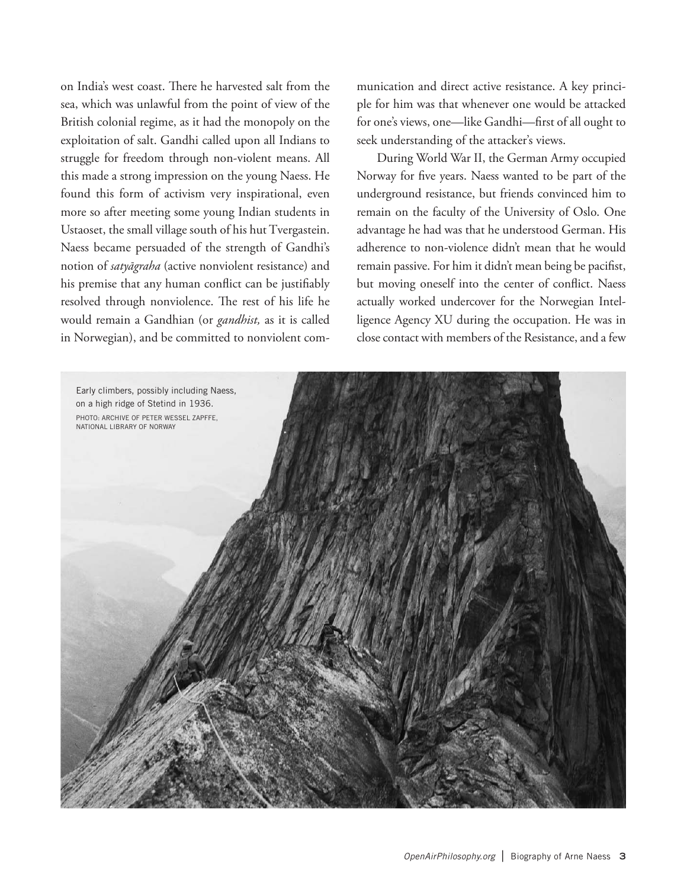on India's west coast. There he harvested salt from the sea, which was unlawful from the point of view of the British colonial regime, as it had the monopoly on the exploitation of salt. Gandhi called upon all Indians to struggle for freedom through non-violent means. All this made a strong impression on the young Naess. He found this form of activism very inspirational, even more so after meeting some young Indian students in Ustaoset, the small village south of his hut Tvergastein. Naess became persuaded of the strength of Gandhi's notion of *satyāgraha* (active nonviolent resistance) and his premise that any human conflict can be justifiably resolved through nonviolence. The rest of his life he would remain a Gandhian (or *gandhist,* as it is called in Norwegian), and be committed to nonviolent communication and direct active resistance. A key principle for him was that whenever one would be attacked for one's views, one—like Gandhi—first of all ought to seek understanding of the attacker's views.

During World War II, the German Army occupied Norway for five years. Naess wanted to be part of the underground resistance, but friends convinced him to remain on the faculty of the University of Oslo. One advantage he had was that he understood German. His adherence to non-violence didn't mean that he would remain passive. For him it didn't mean being be pacifist, but moving oneself into the center of conflict. Naess actually worked undercover for the Norwegian Intelligence Agency XU during the occupation. He was in close contact with members of the Resistance, and a few

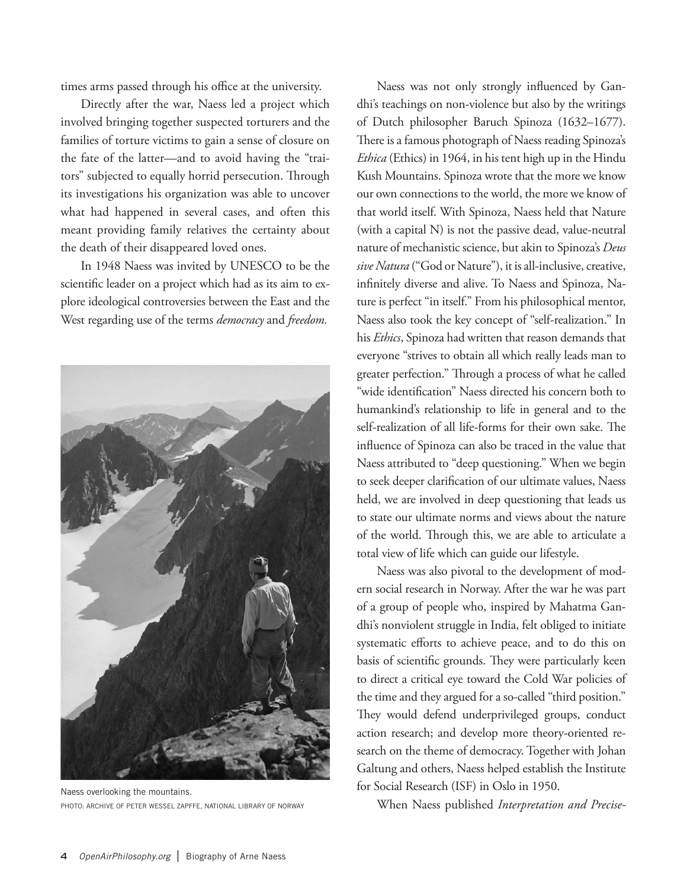times arms passed through his office at the university.

Directly after the war, Naess led a project which involved bringing together suspected torturers and the families of torture victims to gain a sense of closure on the fate of the latter—and to avoid having the "traitors" subjected to equally horrid persecution. Through its investigations his organization was able to uncover what had happened in several cases, and often this meant providing family relatives the certainty about the death of their disappeared loved ones.

In 1948 Naess was invited by UNESCO to be the scientific leader on a project which had as its aim to explore ideological controversies between the East and the West regarding use of the terms *democracy* and *freedom.*



Naess overlooking the mountains. PHOTO: ARCHIVE OF PETER WESSEL ZAPFFE, NATIONAL LIBRARY OF NORWAY

Naess was not only strongly influenced by Gandhi's teachings on non-violence but also by the writings of Dutch philosopher Baruch Spinoza (1632–1677). There is a famous photograph of Naess reading Spinoza's *Ethica* (Ethics) in 1964, in his tent high up in the Hindu Kush Mountains. Spinoza wrote that the more we know our own connections to the world, the more we know of that world itself. With Spinoza, Naess held that Nature (with a capital N) is not the passive dead, value-neutral nature of mechanistic science, but akin to Spinoza's *Deus sive Natura* ("God or Nature"), it is all-inclusive, creative, infinitely diverse and alive. To Naess and Spinoza, Nature is perfect "in itself." From his philosophical mentor, Naess also took the key concept of "self-realization." In his *Ethics*, Spinoza had written that reason demands that everyone "strives to obtain all which really leads man to greater perfection." Through a process of what he called "wide identification" Naess directed his concern both to humankind's relationship to life in general and to the self-realization of all life-forms for their own sake. The influence of Spinoza can also be traced in the value that Naess attributed to "deep questioning." When we begin to seek deeper clarification of our ultimate values, Naess held, we are involved in deep questioning that leads us to state our ultimate norms and views about the nature of the world. Through this, we are able to articulate a total view of life which can guide our lifestyle.

Naess was also pivotal to the development of modern social research in Norway. After the war he was part of a group of people who, inspired by Mahatma Gandhi's nonviolent struggle in India, felt obliged to initiate systematic efforts to achieve peace, and to do this on basis of scientific grounds. They were particularly keen to direct a critical eye toward the Cold War policies of the time and they argued for a so-called "third position." They would defend underprivileged groups, conduct action research; and develop more theory-oriented research on the theme of democracy. Together with Johan Galtung and others, Naess helped establish the Institute for Social Research (ISF) in Oslo in 1950.

When Naess published *Interpretation and Precise-*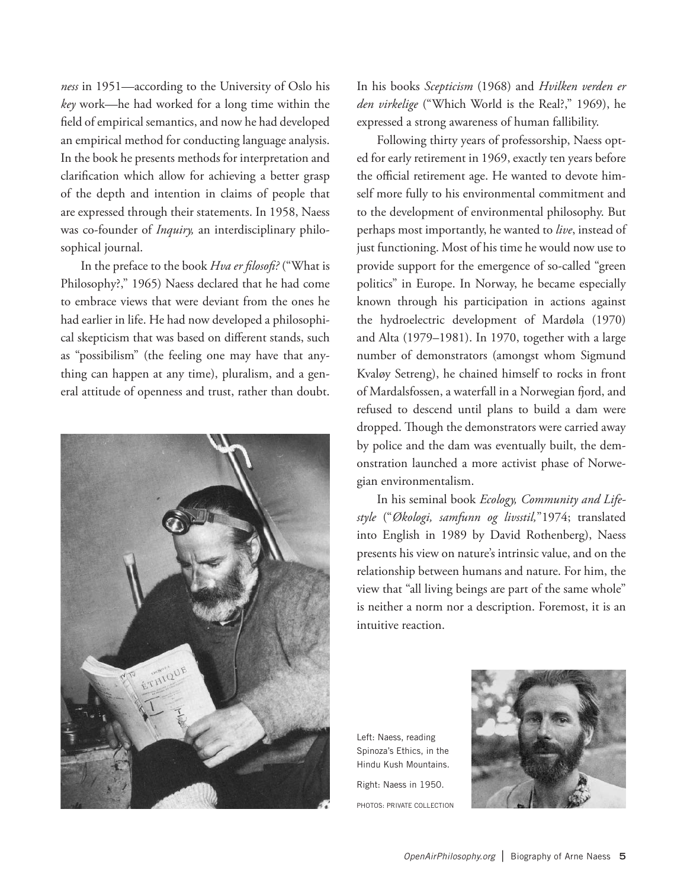*ness* in 1951—according to the University of Oslo his *key* work—he had worked for a long time within the field of empirical semantics, and now he had developed an empirical method for conducting language analysis. In the book he presents methods for interpretation and clarification which allow for achieving a better grasp of the depth and intention in claims of people that are expressed through their statements. In 1958, Naess was co-founder of *Inquiry,* an interdisciplinary philosophical journal.

In the preface to the book *Hva er filosofi?* ("What is Philosophy?," 1965) Naess declared that he had come to embrace views that were deviant from the ones he had earlier in life. He had now developed a philosophical skepticism that was based on different stands, such as "possibilism" (the feeling one may have that anything can happen at any time), pluralism, and a general attitude of openness and trust, rather than doubt.



In his books *Scepticism* (1968) and *Hvilken verden er den virkelige* ("Which World is the Real?," 1969), he expressed a strong awareness of human fallibility.

Following thirty years of professorship, Naess opted for early retirement in 1969, exactly ten years before the official retirement age. He wanted to devote himself more fully to his environmental commitment and to the development of environmental philosophy. But perhaps most importantly, he wanted to *live*, instead of just functioning. Most of his time he would now use to provide support for the emergence of so-called "green politics" in Europe. In Norway, he became especially known through his participation in actions against the hydroelectric development of Mardøla (1970) and Alta (1979–1981). In 1970, together with a large number of demonstrators (amongst whom Sigmund Kvaløy Setreng), he chained himself to rocks in front of Mardalsfossen, a waterfall in a Norwegian fjord, and refused to descend until plans to build a dam were dropped. Though the demonstrators were carried away by police and the dam was eventually built, the demonstration launched a more activist phase of Norwegian environmentalism.

In his seminal book *Ecology, Community and Lifestyle* ("*Økologi, samfunn og livsstil,*"1974; translated into English in 1989 by David Rothenberg), Naess presents his view on nature's intrinsic value, and on the relationship between humans and nature. For him, the view that "all living beings are part of the same whole" is neither a norm nor a description. Foremost, it is an intuitive reaction.

Left: Naess, reading Spinoza's Ethics, in the Hindu Kush Mountains. Right: Naess in 1950. PHOTOS: PRIVATE COLLECTION

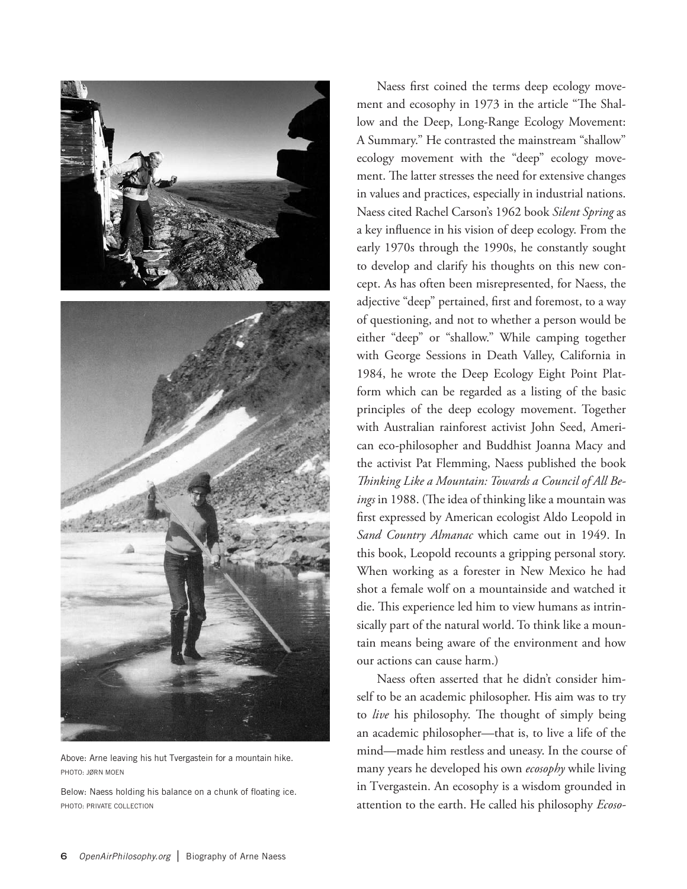

Above: Arne leaving his hut Tvergastein for a mountain hike. PHOTO: JØRN MOEN

Below: Naess holding his balance on a chunk of floating ice. PHOTO: PRIVATE COLLECTION

Naess first coined the terms deep ecology movement and ecosophy in 1973 in the article "The Shallow and the Deep, Long-Range Ecology Movement: A Summary." He contrasted the mainstream "shallow" ecology movement with the "deep" ecology movement. The latter stresses the need for extensive changes in values and practices, especially in industrial nations. Naess cited Rachel Carson's 1962 book *Silent Spring* as a key influence in his vision of deep ecology. From the early 1970s through the 1990s, he constantly sought to develop and clarify his thoughts on this new concept. As has often been misrepresented, for Naess, the adjective "deep" pertained, first and foremost, to a way of questioning, and not to whether a person would be either "deep" or "shallow." While camping together with George Sessions in Death Valley, California in 1984, he wrote the Deep Ecology Eight Point Platform which can be regarded as a listing of the basic principles of the deep ecology movement. Together with Australian rainforest activist John Seed, American eco-philosopher and Buddhist Joanna Macy and the activist Pat Flemming, Naess published the book *Thinking Like a Mountain: Towards a Council of All Beings* in 1988. (The idea of thinking like a mountain was first expressed by American ecologist Aldo Leopold in *Sand Country Almanac* which came out in 1949. In this book, Leopold recounts a gripping personal story. When working as a forester in New Mexico he had shot a female wolf on a mountainside and watched it die. This experience led him to view humans as intrinsically part of the natural world. To think like a mountain means being aware of the environment and how our actions can cause harm.)

Naess often asserted that he didn't consider himself to be an academic philosopher. His aim was to try to *live* his philosophy. The thought of simply being an academic philosopher—that is, to live a life of the mind—made him restless and uneasy. In the course of many years he developed his own *ecosophy* while living in Tvergastein. An ecosophy is a wisdom grounded in attention to the earth. He called his philosophy *Ecoso-*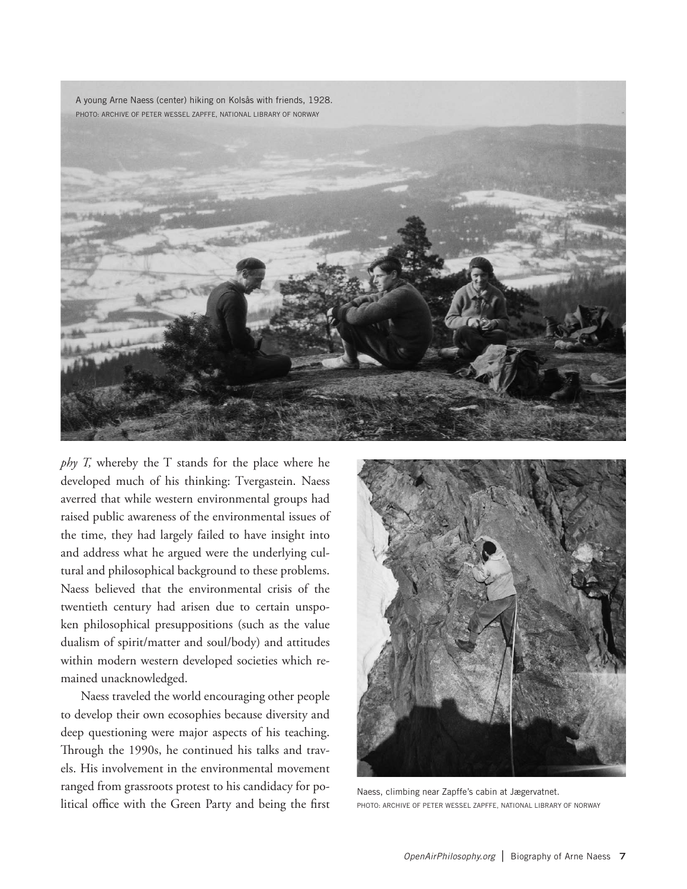A young Arne Naess (center) hiking on Kolsås with friends, 1928.



*phy T,* whereby the T stands for the place where he developed much of his thinking: Tvergastein. Naess averred that while western environmental groups had raised public awareness of the environmental issues of the time, they had largely failed to have insight into and address what he argued were the underlying cultural and philosophical background to these problems. Naess believed that the environmental crisis of the twentieth century had arisen due to certain unspoken philosophical presuppositions (such as the value dualism of spirit/matter and soul/body) and attitudes within modern western developed societies which remained unacknowledged.

Naess traveled the world encouraging other people to develop their own ecosophies because diversity and deep questioning were major aspects of his teaching. Through the 1990s, he continued his talks and travels. His involvement in the environmental movement ranged from grassroots protest to his candidacy for political office with the Green Party and being the first



Naess, climbing near Zapffe's cabin at Jægervatnet. PHOTO: ARCHIVE OF PETER WESSEL ZAPFFE, NATIONAL LIBRARY OF NORWAY